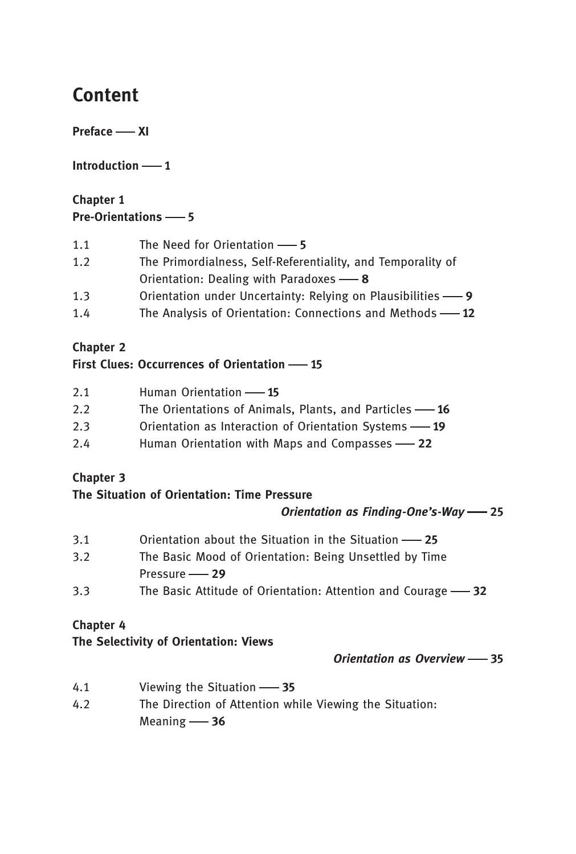# **Content**

Preface — XI

# Introduction  $-1$

# Chapter 1 Pre-Orientations - 5

| 1.1 | The Need for Orientation -- 5                               |
|-----|-------------------------------------------------------------|
| 1.2 | The Primordialness, Self-Referentiality, and Temporality of |
|     | Orientation: Dealing with Paradoxes — 8                     |
| 1.3 | Orientation under Uncertainty: Relying on Plausibilities -9 |
| 1.4 | The Analysis of Orientation: Connections and Methods -- 12  |
|     |                                                             |

# Chapter 2

#### First Clues: Occurrences of Orientation -15

| 2.1 | Human Orientation -- 15                                  |
|-----|----------------------------------------------------------|
| 2.2 | The Orientations of Animals, Plants, and Particles -- 16 |
| 2.3 | Orientation as Interaction of Orientation Systems - 19   |
| 2.4 | Human Orientation with Maps and Compasses -22            |

#### Chapter 3

#### The Situation of Orientation: Time Pressure

#### Orientation as Finding-One's-Way 25

- 3.1 Orientation about the Situation in the Situation -25
- . The Basic Mood of Orientation: Being Unsettled by Time Pressure -29
- 3.3 The Basic Attitude of Orientation: Attention and Courage -82

### Chapter 4

#### The Selectivity of Orientation: Views

#### Orientation as Overview - 35

- 4.1 Viewing the Situation 35
- . The Direction of Attention while Viewing the Situation:  $Meaning - 36$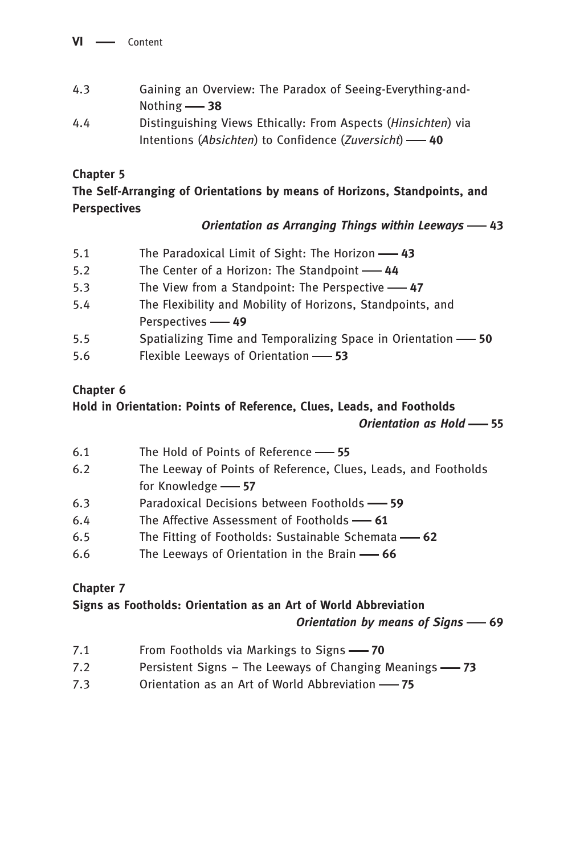- . Gaining an Overview: The Paradox of Seeing-Everything-and-Nothing -88
- . Distinguishing Views Ethically: From Aspects (Hinsichten) via Intentions (Absichten) to Confidence (Zuversicht) -40

# Chapter 5

# The Self-Arranging of Orientations by means of Horizons, Standpoints, and **Perspectives**

#### Orientation as Arranging Things within Leeways -43

- 5.1 The Paradoxical Limit of Sight: The Horizon 43
- 5.2 The Center of a Horizon: The Standpoint -44
- 5.3 The View from a Standpoint: The Perspective -47
- . The Flexibility and Mobility of Horizons, Standpoints, and Perspectives -49
- 5.5 Spatializing Time and Temporalizing Space in Orientation 50
- 5.6 Flexible Leeways of Orientation 53

#### Chapter 6

#### Hold in Orientation: Points of Reference, Clues, Leads, and Footholds Orientation as Hold -55

- 6.1 The Hold of Points of Reference 55
- . The Leeway of Points of Reference, Clues, Leads, and Footholds for Knowledge -- 57
- 6.3 Paradoxical Decisions between Footholds 59
- $6.4$  The Affective Assessment of Footholds  $-61$
- 6.5 The Fitting of Footholds: Sustainable Schemata -62
- 6.6 The Leeways of Orientation in the Brain -66

#### Chapter 7

# Signs as Footholds: Orientation as an Art of World Abbreviation

Orientation by means of Signs -69

- 7.1 From Footholds via Markings to Signs -70
- 7.2 Persistent Signs The Leeways of Changing Meanings –73
- 7.3 Orientation as an Art of World Abbreviation 75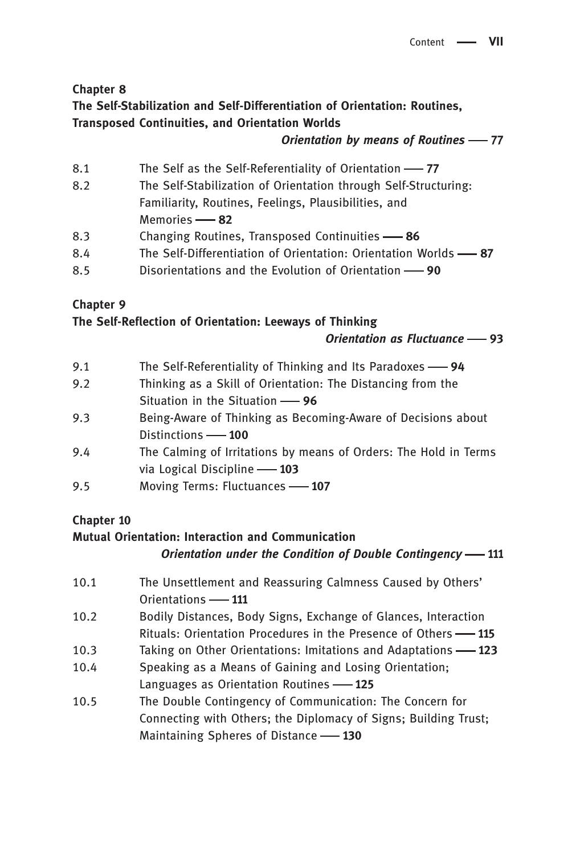# Chapter 8 The Self-Stabilization and Self-Differentiation of Orientation: Routines, Transposed Continuities, and Orientation Worlds

#### Orientation by means of Routines -77

- 8.1 The Self as the Self-Referentiality of Orientation -77
- . The Self-Stabilization of Orientation through Self-Structuring: Familiarity, Routines, Feelings, Plausibilities, and Memories -82
- 8.3 Changing Routines, Transposed Continuities -86
- 8.4 The Self-Differentiation of Orientation: Orientation Worlds -87
- 8.5 Disorientations and the Evolution of Orientation -90

#### Chapter 9

#### The Self-Reflection of Orientation: Leeways of Thinking

#### Orientation as Fluctuance - 93

- 9.1 The Self-Referentiality of Thinking and Its Paradoxes 94
- . Thinking as a Skill of Orientation: The Distancing from the Situation in the Situation  $-$  96
- 9.3 Being-Aware of Thinking as Becoming-Aware of Decisions about Distinctions - 100
- . The Calming of Irritations by means of Orders: The Hold in Terms via Logical Discipline -103
- 9.5 Moving Terms: Fluctuances 107

#### Chapter 10

#### Mutual Orientation: Interaction and Communication

#### Orientation under the Condition of Double Contingency -- 111

- 10.1 The Unsettlement and Reassuring Calmness Caused by Others' Orientations -111
- . Bodily Distances, Body Signs, Exchange of Glances, Interaction Rituals: Orientation Procedures in the Presence of Others - 115
- 10.3 Taking on Other Orientations: Imitations and Adaptations -123
- . Speaking as a Means of Gaining and Losing Orientation; Languages as Orientation Routines -125
- 10.5 The Double Contingency of Communication: The Concern for Connecting with Others; the Diplomacy of Signs; Building Trust; Maintaining Spheres of Distance -130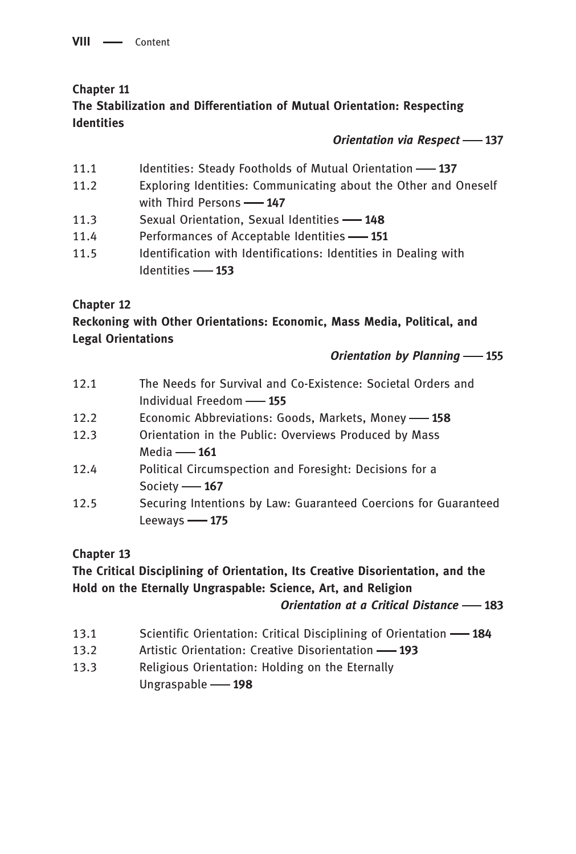# Chapter 11 The Stabilization and Differentiation of Mutual Orientation: Respecting **Identities**

#### Orientation via Respect -137

- 11.1 Identities: Steady Footholds of Mutual Orientation -137
- . Exploring Identities: Communicating about the Other and Oneself with Third Persons -147
- 11.3 Sexual Orientation, Sexual Identities -148
- 11.4 Performances of Acceptable Identities -151
- . Identification with Identifications: Identities in Dealing with  $Id$ entities  $-$  153

#### Chapter 12

#### Reckoning with Other Orientations: Economic, Mass Media, Political, and Legal Orientations

#### Orientation by Planning -155

- . The Needs for Survival and Co-Existence: Societal Orders and Individual Freedom - 155
- 12.2 Economic Abbreviations: Goods, Markets, Money -- 158
- 12.3 Orientation in the Public: Overviews Produced by Mass  $Media - 161$
- 12.4 Political Circumspection and Foresight: Decisions for a Society  $-167$
- 12.5 Securing Intentions by Law: Guaranteed Coercions for Guaranteed Leeways  $-$  175

#### Chapter 13

# The Critical Disciplining of Orientation, Its Creative Disorientation, and the Hold on the Eternally Ungraspable: Science, Art, and Religion

#### Orientation at a Critical Distance - 183

- 13.1 Scientific Orientation: Critical Disciplining of Orientation 184
- 13.2 Artistic Orientation: Creative Disorientation 193
- 13.3 Religious Orientation: Holding on the Eternally Ungraspable -198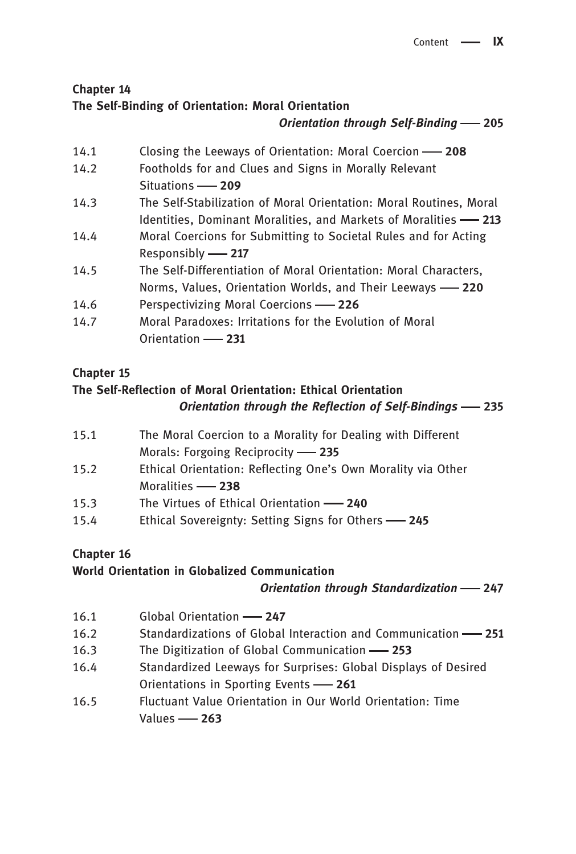# Chapter 14 The Self-Binding of Orientation: Moral Orientation

### Orientation through Self-Binding -205

- 14.1 Closing the Leeways of Orientation: Moral Coercion 208
- 14.2 Footholds for and Clues and Signs in Morally Relevant Situations - 209
- . The Self-Stabilization of Moral Orientation: Moral Routines, Moral Identities, Dominant Moralities, and Markets of Moralities -213
- 14.4 Moral Coercions for Submitting to Societal Rules and for Acting Responsibly -217
- . The Self-Differentiation of Moral Orientation: Moral Characters, Norms. Values, Orientation Worlds, and Their Leeways -220
- 14.6 Perspectivizing Moral Coercions -226
- . Moral Paradoxes: Irritations for the Evolution of Moral Orientation -231

# Chapter 15

# The Self-Reflection of Moral Orientation: Ethical Orientation Orientation through the Reflection of Self-Bindings -235

- 15.1 The Moral Coercion to a Morality for Dealing with Different Morals: Forgoing Reciprocity - 235
- . Ethical Orientation: Reflecting One's Own Morality via Other Moralities -238
- 15.3 The Virtues of Ethical Orientation -240
- 15.4 Ethical Sovereignty: Setting Signs for Others -245

# Chapter 16

#### World Orientation in Globalized Communication

#### Orientation through Standardization 247

- 16.1 Global Orientation -247
- 16.2 Standardizations of Global Interaction and Communication 251
- 16.3 The Digitization of Global Communication -253
- . Standardized Leeways for Surprises: Global Displays of Desired Orientations in Sporting Events -261
- . Fluctuant Value Orientation in Our World Orientation: Time Values  $-263$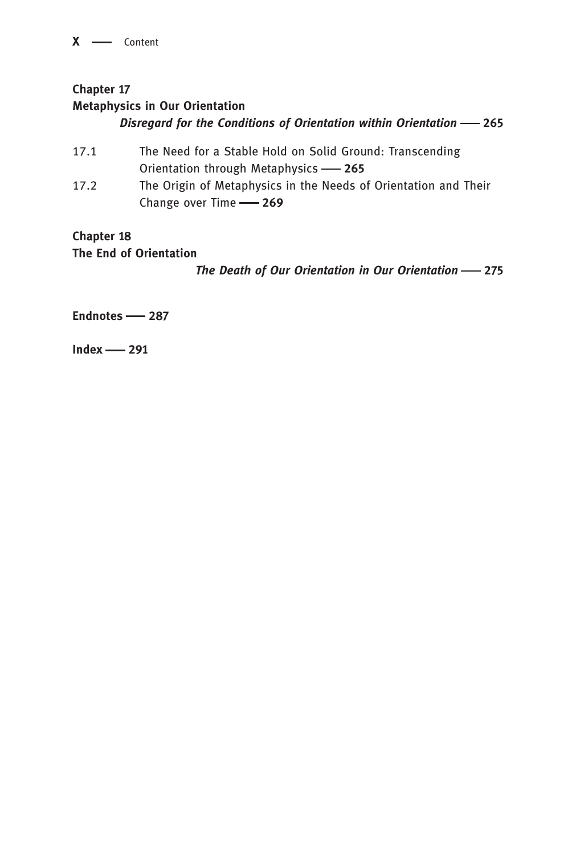# Chapter 17 Metaphysics in Our Orientation Disregard for the Conditions of Orientation within Orientation 265

- 17.1 The Need for a Stable Hold on Solid Ground: Transcending Orientation through Metaphysics -265
- 17.2 The Origin of Metaphysics in the Needs of Orientation and Their Change over Time -269

#### Chapter 18

The End of Orientation

The Death of Our Orientation in Our Orientation -275

Endnotes  $-287$ 

 $Index - 291$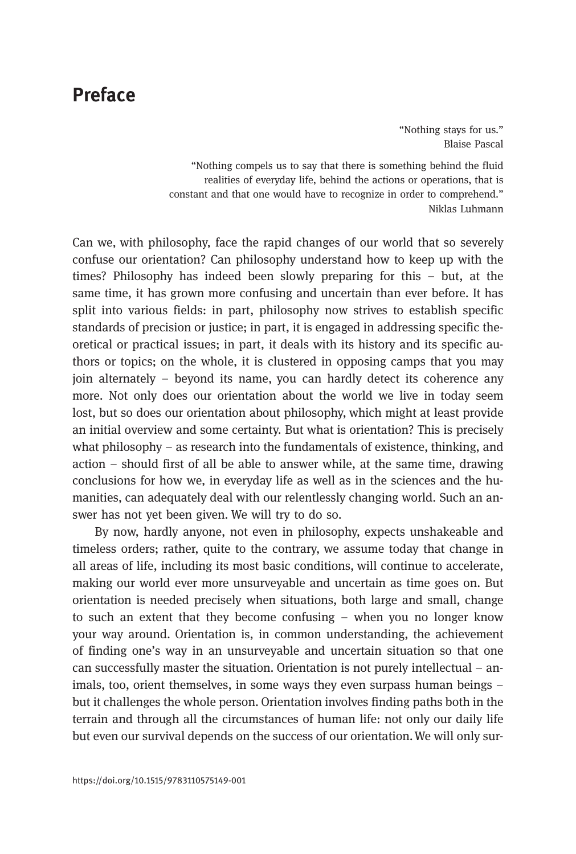# Preface

"Nothing stays for us." Blaise Pascal

"Nothing compels us to say that there is something behind the fluid realities of everyday life, behind the actions or operations, that is constant and that one would have to recognize in order to comprehend." Niklas Luhmann

Can we, with philosophy, face the rapid changes of our world that so severely confuse our orientation? Can philosophy understand how to keep up with the times? Philosophy has indeed been slowly preparing for this – but, at the same time, it has grown more confusing and uncertain than ever before. It has split into various fields: in part, philosophy now strives to establish specific standards of precision or justice; in part, it is engaged in addressing specific theoretical or practical issues; in part, it deals with its history and its specific authors or topics; on the whole, it is clustered in opposing camps that you may join alternately – beyond its name, you can hardly detect its coherence any more. Not only does our orientation about the world we live in today seem lost, but so does our orientation about philosophy, which might at least provide an initial overview and some certainty. But what is orientation? This is precisely what philosophy – as research into the fundamentals of existence, thinking, and action – should first of all be able to answer while, at the same time, drawing conclusions for how we, in everyday life as well as in the sciences and the humanities, can adequately deal with our relentlessly changing world. Such an answer has not yet been given. We will try to do so.

By now, hardly anyone, not even in philosophy, expects unshakeable and timeless orders; rather, quite to the contrary, we assume today that change in all areas of life, including its most basic conditions, will continue to accelerate, making our world ever more unsurveyable and uncertain as time goes on. But orientation is needed precisely when situations, both large and small, change to such an extent that they become confusing – when you no longer know your way around. Orientation is, in common understanding, the achievement of finding one's way in an unsurveyable and uncertain situation so that one can successfully master the situation. Orientation is not purely intellectual – animals, too, orient themselves, in some ways they even surpass human beings – but it challenges the whole person. Orientation involves finding paths both in the terrain and through all the circumstances of human life: not only our daily life but even our survival depends on the success of our orientation.We will only sur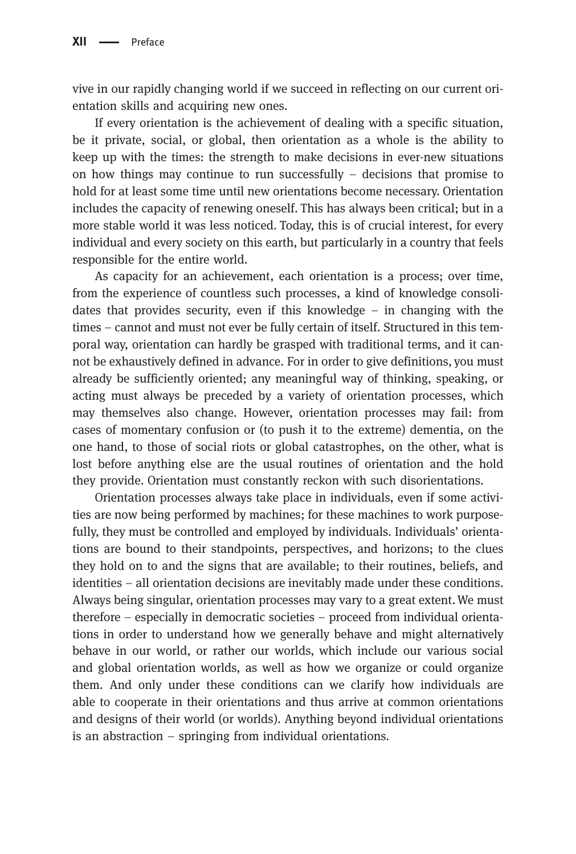vive in our rapidly changing world if we succeed in reflecting on our current orientation skills and acquiring new ones.

If every orientation is the achievement of dealing with a specific situation, be it private, social, or global, then orientation as a whole is the ability to keep up with the times: the strength to make decisions in ever-new situations on how things may continue to run successfully  $-$  decisions that promise to hold for at least some time until new orientations become necessary. Orientation includes the capacity of renewing oneself. This has always been critical; but in a more stable world it was less noticed. Today, this is of crucial interest, for every individual and every society on this earth, but particularly in a country that feels responsible for the entire world.

As capacity for an achievement, each orientation is a process; over time, from the experience of countless such processes, a kind of knowledge consolidates that provides security, even if this knowledge  $-$  in changing with the times – cannot and must not ever be fully certain of itself. Structured in this temporal way, orientation can hardly be grasped with traditional terms, and it cannot be exhaustively defined in advance. For in order to give definitions, you must already be sufficiently oriented; any meaningful way of thinking, speaking, or acting must always be preceded by a variety of orientation processes, which may themselves also change. However, orientation processes may fail: from cases of momentary confusion or (to push it to the extreme) dementia, on the one hand, to those of social riots or global catastrophes, on the other, what is lost before anything else are the usual routines of orientation and the hold they provide. Orientation must constantly reckon with such disorientations.

Orientation processes always take place in individuals, even if some activities are now being performed by machines; for these machines to work purposefully, they must be controlled and employed by individuals. Individuals' orientations are bound to their standpoints, perspectives, and horizons; to the clues they hold on to and the signs that are available; to their routines, beliefs, and identities – all orientation decisions are inevitably made under these conditions. Always being singular, orientation processes may vary to a great extent.We must therefore – especially in democratic societies – proceed from individual orientations in order to understand how we generally behave and might alternatively behave in our world, or rather our worlds, which include our various social and global orientation worlds, as well as how we organize or could organize them. And only under these conditions can we clarify how individuals are able to cooperate in their orientations and thus arrive at common orientations and designs of their world (or worlds). Anything beyond individual orientations is an abstraction – springing from individual orientations.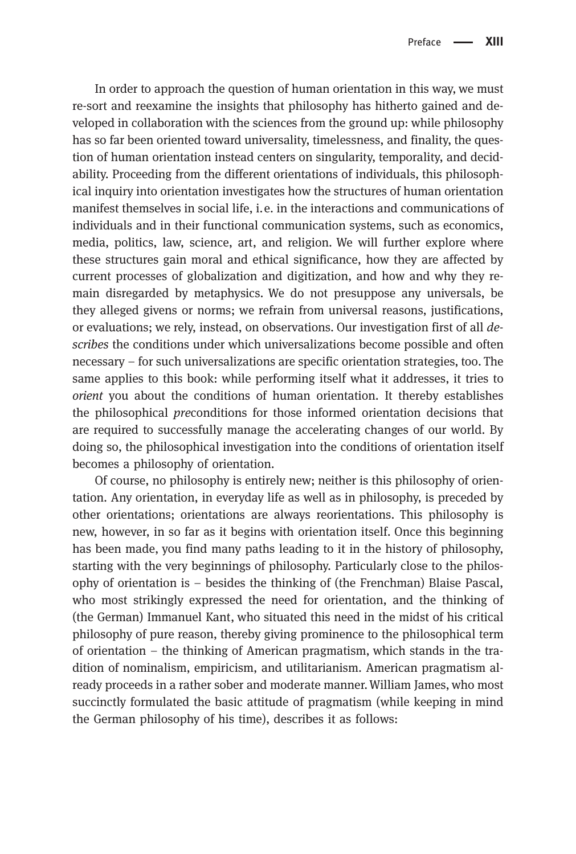In order to approach the question of human orientation in this way, we must re-sort and reexamine the insights that philosophy has hitherto gained and developed in collaboration with the sciences from the ground up: while philosophy has so far been oriented toward universality, timelessness, and finality, the question of human orientation instead centers on singularity, temporality, and decidability. Proceeding from the different orientations of individuals, this philosophical inquiry into orientation investigates how the structures of human orientation manifest themselves in social life, i.e. in the interactions and communications of individuals and in their functional communication systems, such as economics, media, politics, law, science, art, and religion. We will further explore where these structures gain moral and ethical significance, how they are affected by current processes of globalization and digitization, and how and why they remain disregarded by metaphysics. We do not presuppose any universals, be they alleged givens or norms; we refrain from universal reasons, justifications, or evaluations; we rely, instead, on observations. Our investigation first of all describes the conditions under which universalizations become possible and often necessary – for such universalizations are specific orientation strategies, too. The same applies to this book: while performing itself what it addresses, it tries to orient you about the conditions of human orientation. It thereby establishes the philosophical preconditions for those informed orientation decisions that are required to successfully manage the accelerating changes of our world. By doing so, the philosophical investigation into the conditions of orientation itself becomes a philosophy of orientation.

Of course, no philosophy is entirely new; neither is this philosophy of orientation. Any orientation, in everyday life as well as in philosophy, is preceded by other orientations; orientations are always reorientations. This philosophy is new, however, in so far as it begins with orientation itself. Once this beginning has been made, you find many paths leading to it in the history of philosophy, starting with the very beginnings of philosophy. Particularly close to the philosophy of orientation is – besides the thinking of (the Frenchman) Blaise Pascal, who most strikingly expressed the need for orientation, and the thinking of (the German) Immanuel Kant, who situated this need in the midst of his critical philosophy of pure reason, thereby giving prominence to the philosophical term of orientation – the thinking of American pragmatism, which stands in the tradition of nominalism, empiricism, and utilitarianism. American pragmatism already proceeds in a rather sober and moderate manner.William James, who most succinctly formulated the basic attitude of pragmatism (while keeping in mind the German philosophy of his time), describes it as follows: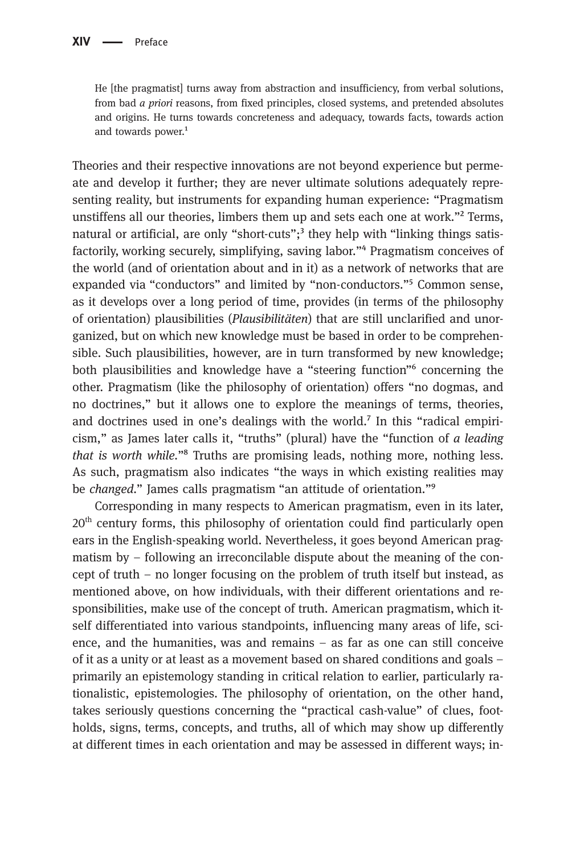He [the pragmatist] turns away from abstraction and insufficiency, from verbal solutions, from bad a priori reasons, from fixed principles, closed systems, and pretended absolutes and origins. He turns towards concreteness and adequacy, towards facts, towards action and towards power.<sup>1</sup>

Theories and their respective innovations are not beyond experience but permeate and develop it further; they are never ultimate solutions adequately representing reality, but instruments for expanding human experience: "Pragmatism unstiffens all our theories, limbers them up and sets each one at work."² Terms, natural or artificial, are only "short-cuts";<sup>3</sup> they help with "linking things satisfactorily, working securely, simplifying, saving labor."<sup>4</sup> Pragmatism conceives of the world (and of orientation about and in it) as a network of networks that are expanded via "conductors" and limited by "non-conductors."<sup>5</sup> Common sense, as it develops over a long period of time, provides (in terms of the philosophy of orientation) plausibilities (Plausibilitäten) that are still unclarified and unorganized, but on which new knowledge must be based in order to be comprehensible. Such plausibilities, however, are in turn transformed by new knowledge; both plausibilities and knowledge have a "steering function" concerning the other. Pragmatism (like the philosophy of orientation) offers "no dogmas, and no doctrines," but it allows one to explore the meanings of terms, theories, and doctrines used in one's dealings with the world.<sup>7</sup> In this "radical empiricism," as James later calls it, "truths" (plural) have the "function of  $a$  leading that is worth while."<sup>8</sup> Truths are promising leads, nothing more, nothing less. As such, pragmatism also indicates "the ways in which existing realities may be *changed*." James calls pragmatism "an attitude of orientation."<sup>9</sup>

Corresponding in many respects to American pragmatism, even in its later, 20<sup>th</sup> century forms, this philosophy of orientation could find particularly open ears in the English-speaking world. Nevertheless, it goes beyond American pragmatism by – following an irreconcilable dispute about the meaning of the concept of truth – no longer focusing on the problem of truth itself but instead, as mentioned above, on how individuals, with their different orientations and responsibilities, make use of the concept of truth. American pragmatism, which itself differentiated into various standpoints, influencing many areas of life, science, and the humanities, was and remains – as far as one can still conceive of it as a unity or at least as a movement based on shared conditions and goals – primarily an epistemology standing in critical relation to earlier, particularly rationalistic, epistemologies. The philosophy of orientation, on the other hand, takes seriously questions concerning the "practical cash-value" of clues, footholds, signs, terms, concepts, and truths, all of which may show up differently at different times in each orientation and may be assessed in different ways; in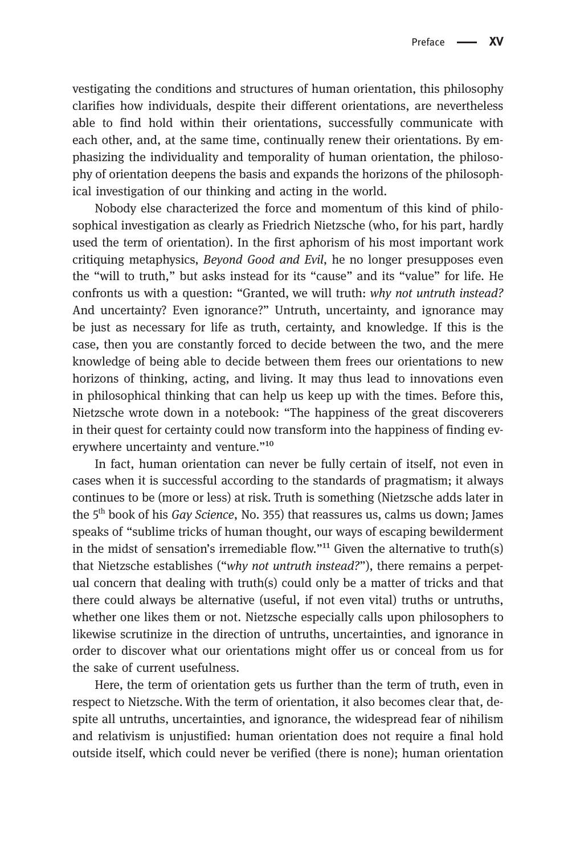vestigating the conditions and structures of human orientation, this philosophy clarifies how individuals, despite their different orientations, are nevertheless able to find hold within their orientations, successfully communicate with each other, and, at the same time, continually renew their orientations. By emphasizing the individuality and temporality of human orientation, the philosophy of orientation deepens the basis and expands the horizons of the philosophical investigation of our thinking and acting in the world.

Nobody else characterized the force and momentum of this kind of philosophical investigation as clearly as Friedrich Nietzsche (who, for his part, hardly used the term of orientation). In the first aphorism of his most important work critiquing metaphysics, Beyond Good and Evil, he no longer presupposes even the "will to truth," but asks instead for its "cause" and its "value" for life. He confronts us with a question: "Granted, we will truth: why not untruth instead? And uncertainty? Even ignorance?" Untruth, uncertainty, and ignorance may be just as necessary for life as truth, certainty, and knowledge. If this is the case, then you are constantly forced to decide between the two, and the mere knowledge of being able to decide between them frees our orientations to new horizons of thinking, acting, and living. It may thus lead to innovations even in philosophical thinking that can help us keep up with the times. Before this, Nietzsche wrote down in a notebook: "The happiness of the great discoverers in their quest for certainty could now transform into the happiness of finding everywhere uncertainty and venture."<sup>10</sup>

In fact, human orientation can never be fully certain of itself, not even in cases when it is successful according to the standards of pragmatism; it always continues to be (more or less) at risk. Truth is something (Nietzsche adds later in the  $5<sup>th</sup>$  book of his *Gay Science*, No. 355) that reassures us, calms us down; James speaks of "sublime tricks of human thought, our ways of escaping bewilderment in the midst of sensation's irremediable flow."<sup>11</sup> Given the alternative to truth(s) that Nietzsche establishes ("why not untruth instead?"), there remains a perpetual concern that dealing with truth(s) could only be a matter of tricks and that there could always be alternative (useful, if not even vital) truths or untruths, whether one likes them or not. Nietzsche especially calls upon philosophers to likewise scrutinize in the direction of untruths, uncertainties, and ignorance in order to discover what our orientations might offer us or conceal from us for the sake of current usefulness.

Here, the term of orientation gets us further than the term of truth, even in respect to Nietzsche. With the term of orientation, it also becomes clear that, despite all untruths, uncertainties, and ignorance, the widespread fear of nihilism and relativism is unjustified: human orientation does not require a final hold outside itself, which could never be verified (there is none); human orientation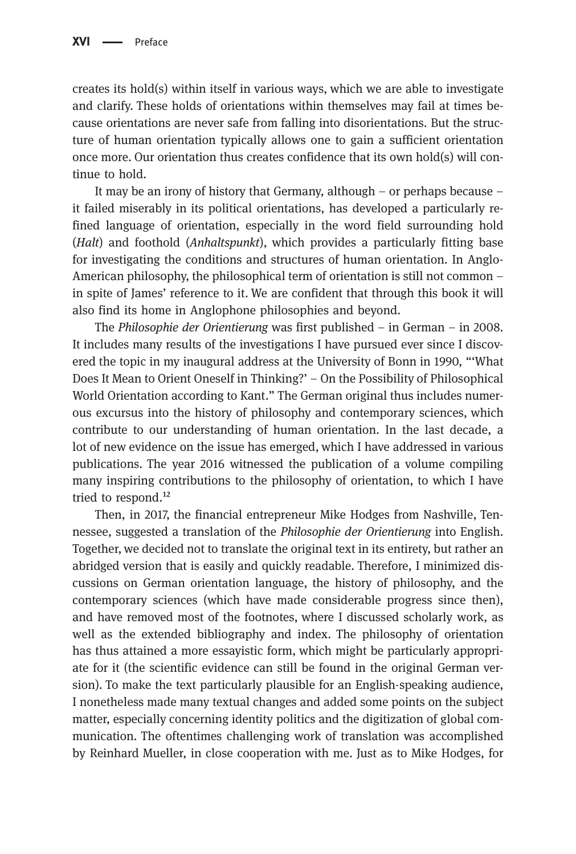creates its hold(s) within itself in various ways, which we are able to investigate and clarify. These holds of orientations within themselves may fail at times because orientations are never safe from falling into disorientations. But the structure of human orientation typically allows one to gain a sufficient orientation once more. Our orientation thus creates confidence that its own hold(s) will continue to hold.

It may be an irony of history that Germany, although – or perhaps because – it failed miserably in its political orientations, has developed a particularly refined language of orientation, especially in the word field surrounding hold (Halt) and foothold (Anhaltspunkt), which provides a particularly fitting base for investigating the conditions and structures of human orientation. In Anglo-American philosophy, the philosophical term of orientation is still not common – in spite of James' reference to it. We are confident that through this book it will also find its home in Anglophone philosophies and beyond.

The Philosophie der Orientierung was first published – in German – in 2008. It includes many results of the investigations I have pursued ever since I discovered the topic in my inaugural address at the University of Bonn in 1990, "'What Does It Mean to Orient Oneself in Thinking?' – On the Possibility of Philosophical World Orientation according to Kant." The German original thus includes numerous excursus into the history of philosophy and contemporary sciences, which contribute to our understanding of human orientation. In the last decade, a lot of new evidence on the issue has emerged, which I have addressed in various publications. The year 2016 witnessed the publication of a volume compiling many inspiring contributions to the philosophy of orientation, to which I have tried to respond.<sup>12</sup>

Then, in 2017, the financial entrepreneur Mike Hodges from Nashville, Tennessee, suggested a translation of the Philosophie der Orientierung into English. Together, we decided not to translate the original text in its entirety, but rather an abridged version that is easily and quickly readable. Therefore, I minimized discussions on German orientation language, the history of philosophy, and the contemporary sciences (which have made considerable progress since then), and have removed most of the footnotes, where I discussed scholarly work, as well as the extended bibliography and index. The philosophy of orientation has thus attained a more essayistic form, which might be particularly appropriate for it (the scientific evidence can still be found in the original German version). To make the text particularly plausible for an English-speaking audience, I nonetheless made many textual changes and added some points on the subject matter, especially concerning identity politics and the digitization of global communication. The oftentimes challenging work of translation was accomplished by Reinhard Mueller, in close cooperation with me. Just as to Mike Hodges, for